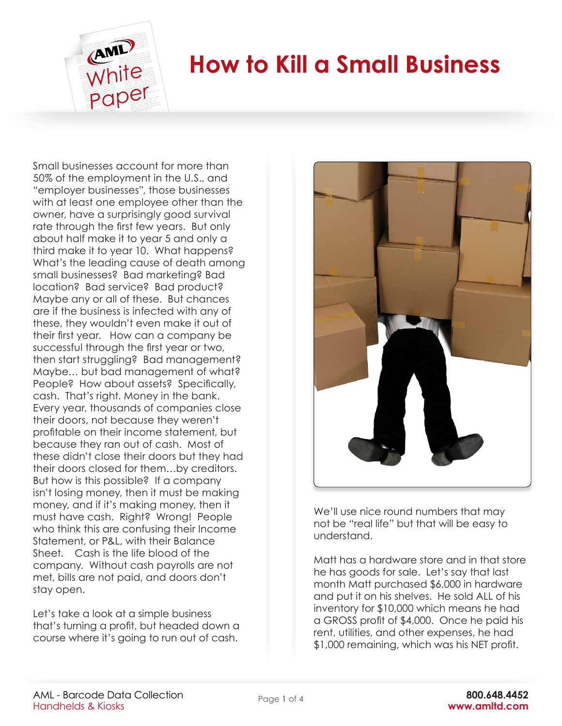

## **How to Kill a Small Business**

Small businesses account for more than 50% of the employment in the U.S., and "employer businesses", those businesses with at least one employee other than the owner, have a surprisingly good survival rate through the first few years. But only about half make it to year 5 and only a third make it to year 10. What happens? What's the leading cause of death among small businesses? Bad marketing? Bad location? Bad service? Bad product? Maybe any or all of these. But chances are if the business is infected with any of these, they wouldn't even make it out of their first year. How can a company be successful through the first year or two, then start struggling? Bad management? Maybe… but bad management of what? People? How about assets? Specifically, cash. That's right. Money in the bank. Every year, thousands of companies close their doors, not because they weren't profitable on their income statement, but because they ran out of cash. Most of these didn't close their doors but they had their doors closed for them…by creditors. But how is this possible? If a company isn't losing money, then it must be making money, and if it's making money, then it must have cash. Right? Wrong! People who think this are confusing their Income Statement, or P&L, with their Balance Sheet. Cash is the life blood of the company. Without cash payrolls are not met, bills are not paid, and doors don't stay open.

Let's take a look at a simple business that's turning a profit, but headed down a course where it's going to run out of cash.



We'll use nice round numbers that may not be "real life" but that will be easy to understand.

Matt has a hardware store and in that store he has goods for sale. Let's say that last month Matt purchased \$6,000 in hardware and put it on his shelves. He sold ALL of his inventory for \$10,000 which means he had a GROSS profit of \$4,000. Once he paid his rent, utilities, and other expenses, he had \$1,000 remaining, which was his NET profit.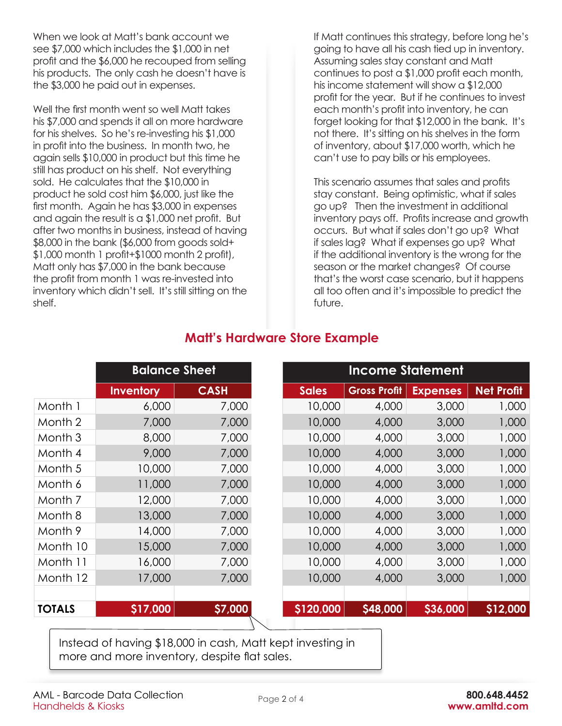When we look at Matt's bank account we see \$7,000 which includes the \$1,000 in net profit and the \$6,000 he recouped from selling his products. The only cash he doesn't have is the \$3,000 he paid out in expenses.

Well the first month went so well Matt takes his \$7,000 and spends it all on more hardware for his shelves. So he's re-investing his \$1,000 in profit into the business. In month two, he again sells \$10,000 in product but this time he still has product on his shelf. Not everything sold. He calculates that the \$10,000 in product he sold cost him \$6,000, just like the first month. Again he has \$3,000 in expenses and again the result is a \$1,000 net profit. But after two months in business, instead of having \$8,000 in the bank (\$6,000 from goods sold+ \$1,000 month 1 profit+\$1000 month 2 profit), Matt only has \$7,000 in the bank because the profit from month 1 was re-invested into inventory which didn't sell. It's still sitting on the shelf.

If Matt continues this strategy, before long he's going to have all his cash tied up in inventory. Assuming sales stay constant and Matt continues to post a \$1,000 profit each month, his income statement will show a \$12,000 profit for the year. But if he continues to invest each month's profit into inventory, he can forget looking for that \$12,000 in the bank. It's not there. It's sitting on his shelves in the form of inventory, about \$17,000 worth, which he can't use to pay bills or his employees.

This scenario assumes that sales and profits stay constant. Being optimistic, what if sales go up? Then the investment in additional inventory pays off. Profits increase and growth occurs. But what if sales don't go up? What if sales lag? What if expenses go up? What if the additional inventory is the wrong for the season or the market changes? Of course that's the worst case scenario, but it happens all too often and it's impossible to predict the future.

|               | <b>Balance Sheet</b> |             |              | <b>Income Statement</b> |                 |                   |  |
|---------------|----------------------|-------------|--------------|-------------------------|-----------------|-------------------|--|
|               | <b>Inventory</b>     | <b>CASH</b> | <b>Sales</b> | <b>Gross Profit</b>     | <b>Expenses</b> | <b>Net Profit</b> |  |
| Month 1       | 6,000                | 7,000       | 10,000       | 4,000                   | 3,000           | 1,000             |  |
| Month 2       | 7,000                | 7,000       | 10,000       | 4,000                   | 3,000           | 1,000             |  |
| Month 3       | 8,000                | 7,000       | 10,000       | 4,000                   | 3,000           | 1,000             |  |
| Month 4       | 9,000                | 7,000       | 10,000       | 4,000                   | 3,000           | 1,000             |  |
| Month 5       | 10,000               | 7,000       | 10,000       | 4,000                   | 3,000           | 1,000             |  |
| Month 6       | 11,000               | 7,000       | 10,000       | 4,000                   | 3,000           | 1,000             |  |
| Month 7       | 12,000               | 7,000       | 10,000       | 4,000                   | 3,000           | 1,000             |  |
| Month 8       | 13,000               | 7,000       | 10,000       | 4,000                   | 3,000           | 1,000             |  |
| Month 9       | 14,000               | 7,000       | 10,000       | 4,000                   | 3,000           | 1,000             |  |
| Month 10      | 15,000               | 7,000       | 10,000       | 4,000                   | 3,000           | 1,000             |  |
| Month 11      | 16,000               | 7,000       | 10,000       | 4,000                   | 3,000           | 1,000             |  |
| Month 12      | 17,000               | 7,000       | 10,000       | 4,000                   | 3,000           | 1,000             |  |
|               |                      |             |              |                         |                 |                   |  |
| <b>TOTALS</b> | \$17,000             | \$7,000     | \$120,000    | \$48,000                | \$36,000        | \$12,000          |  |
|               |                      |             |              |                         |                 |                   |  |

## **Matt's Hardware Store Example**

Instead of having \$18,000 in cash, Matt kept investing in more and more inventory, despite flat sales.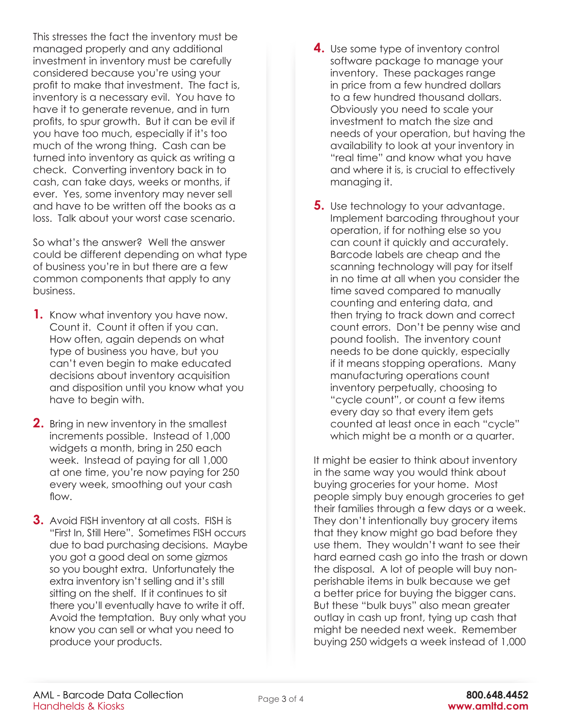This stresses the fact the inventory must be managed properly and any additional investment in inventory must be carefully considered because you're using your profit to make that investment. The fact is, inventory is a necessary evil. You have to have it to generate revenue, and in turn profits, to spur growth. But it can be evil if you have too much, especially if it's too much of the wrong thing. Cash can be turned into inventory as quick as writing a check. Converting inventory back in to cash, can take days, weeks or months, if ever. Yes, some inventory may never sell and have to be written off the books as a loss. Talk about your worst case scenario.

So what's the answer? Well the answer could be different depending on what type of business you're in but there are a few common components that apply to any business.

- **1.** Know what inventory you have now. Count it. Count it often if you can. How often, again depends on what type of business you have, but you can't even begin to make educated decisions about inventory acquisition and disposition until you know what you have to begin with.
- **2.** Bring in new inventory in the smallest increments possible. Instead of 1,000 widgets a month, bring in 250 each week. Instead of paying for all 1,000 at one time, you're now paying for 250 every week, smoothing out your cash flow.
- **3.** Avoid FISH inventory at all costs. FISH is "First In, Still Here". Sometimes FISH occurs due to bad purchasing decisions. Maybe you got a good deal on some gizmos so you bought extra. Unfortunately the extra inventory isn't selling and it's still sitting on the shelf. If it continues to sit there you'll eventually have to write it off. Avoid the temptation. Buy only what you know you can sell or what you need to produce your products.
- **4.** Use some type of inventory control software package to manage your inventory. These packages range in price from a few hundred dollars to a few hundred thousand dollars. Obviously you need to scale your investment to match the size and needs of your operation, but having the availability to look at your inventory in "real time" and know what you have and where it is, is crucial to effectively managing it.
- **5.** Use technology to your advantage. Implement barcoding throughout your operation, if for nothing else so you can count it quickly and accurately. Barcode labels are cheap and the scanning technology will pay for itself in no time at all when you consider the time saved compared to manually counting and entering data, and then trying to track down and correct count errors. Don't be penny wise and pound foolish. The inventory count needs to be done quickly, especially if it means stopping operations. Many manufacturing operations count inventory perpetually, choosing to "cycle count", or count a few items every day so that every item gets counted at least once in each "cycle" which might be a month or a quarter.

It might be easier to think about inventory in the same way you would think about buying groceries for your home. Most people simply buy enough groceries to get their families through a few days or a week. They don't intentionally buy grocery items that they know might go bad before they use them. They wouldn't want to see their hard earned cash go into the trash or down the disposal. A lot of people will buy nonperishable items in bulk because we get a better price for buying the bigger cans. But these "bulk buys" also mean greater outlay in cash up front, tying up cash that might be needed next week. Remember buying 250 widgets a week instead of 1,000